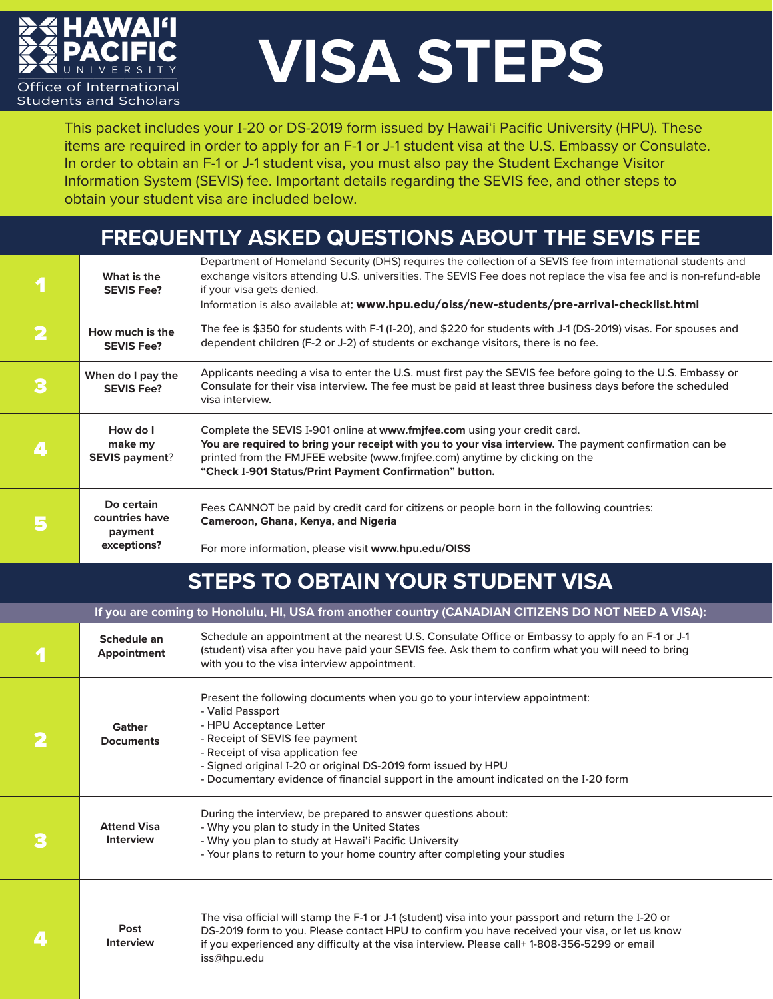

## **VISA STEPS**

This packet includes your I-20 or DS-2019 form issued by Hawai'i Pacific University (HPU). These items are required in order to apply for an F-1 or J-1 student visa at the U.S. Embassy or Consulate. In order to obtain an F-1 or J-1 student visa, you must also pay the Student Exchange Visitor Information System (SEVIS) fee. Important details regarding the SEVIS fee, and other steps to obtain your student visa are included below.

## **FREQUENTLY ASKED QUESTIONS ABOUT THE SEVIS FEE**

|                         | What is the<br><b>SEVIS Fee?</b>                       | Department of Homeland Security (DHS) requires the collection of a SEVIS fee from international students and<br>exchange visitors attending U.S. universities. The SEVIS Fee does not replace the visa fee and is non-refund-able<br>if your visa gets denied.<br>Information is also available at: www.hpu.edu/oiss/new-students/pre-arrival-checklist.html |
|-------------------------|--------------------------------------------------------|--------------------------------------------------------------------------------------------------------------------------------------------------------------------------------------------------------------------------------------------------------------------------------------------------------------------------------------------------------------|
| $\overline{\mathbf{2}}$ | How much is the<br><b>SEVIS Fee?</b>                   | The fee is \$350 for students with F-1 (I-20), and \$220 for students with J-1 (DS-2019) visas. For spouses and<br>dependent children (F-2 or J-2) of students or exchange visitors, there is no fee.                                                                                                                                                        |
| 3                       | When do I pay the<br><b>SEVIS Fee?</b>                 | Applicants needing a visa to enter the U.S. must first pay the SEVIS fee before going to the U.S. Embassy or<br>Consulate for their visa interview. The fee must be paid at least three business days before the scheduled<br>visa interview.                                                                                                                |
| 4                       | How do I<br>make my<br><b>SEVIS payment?</b>           | Complete the SEVIS I-901 online at www.fmifee.com using your credit card.<br>You are required to bring your receipt with you to your visa interview. The payment confirmation can be<br>printed from the FMJFEE website (www.fmjfee.com) anytime by clicking on the<br>"Check I-901 Status/Print Payment Confirmation" button.                               |
| 5                       | Do certain<br>countries have<br>payment<br>exceptions? | Fees CANNOT be paid by credit card for citizens or people born in the following countries:<br>Cameroon, Ghana, Kenya, and Nigeria<br>For more information, please visit www.hpu.edu/OISS                                                                                                                                                                     |

## **STEPS TO OBTAIN YOUR STUDENT VISA**

| If you are coming to Honolulu, HI, USA from another country (CANADIAN CITIZENS DO NOT NEED A VISA): |                                        |                                                                                                                                                                                                                                                                                                                                                           |  |  |  |
|-----------------------------------------------------------------------------------------------------|----------------------------------------|-----------------------------------------------------------------------------------------------------------------------------------------------------------------------------------------------------------------------------------------------------------------------------------------------------------------------------------------------------------|--|--|--|
|                                                                                                     | Schedule an<br><b>Appointment</b>      | Schedule an appointment at the nearest U.S. Consulate Office or Embassy to apply fo an F-1 or J-1<br>(student) visa after you have paid your SEVIS fee. Ask them to confirm what you will need to bring<br>with you to the visa interview appointment.                                                                                                    |  |  |  |
|                                                                                                     | Gather<br><b>Documents</b>             | Present the following documents when you go to your interview appointment:<br>- Valid Passport<br>- HPU Acceptance Letter<br>- Receipt of SEVIS fee payment<br>- Receipt of visa application fee<br>- Signed original I-20 or original DS-2019 form issued by HPU<br>- Documentary evidence of financial support in the amount indicated on the I-20 form |  |  |  |
|                                                                                                     | <b>Attend Visa</b><br><b>Interview</b> | During the interview, be prepared to answer questions about:<br>- Why you plan to study in the United States<br>- Why you plan to study at Hawai'i Pacific University<br>- Your plans to return to your home country after completing your studies                                                                                                        |  |  |  |
|                                                                                                     | Post<br><b>Interview</b>               | The visa official will stamp the F-1 or J-1 (student) visa into your passport and return the I-20 or<br>DS-2019 form to you. Please contact HPU to confirm you have received your visa, or let us know<br>if you experienced any difficulty at the visa interview. Please call+ 1-808-356-5299 or email<br>iss@hpu.edu                                    |  |  |  |